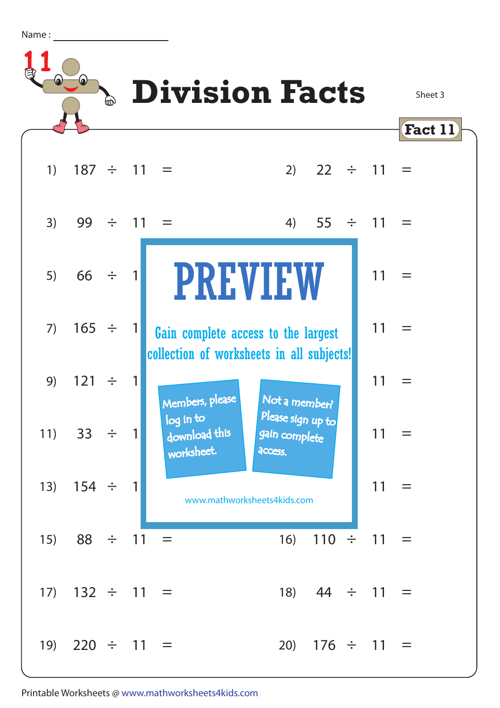Name :